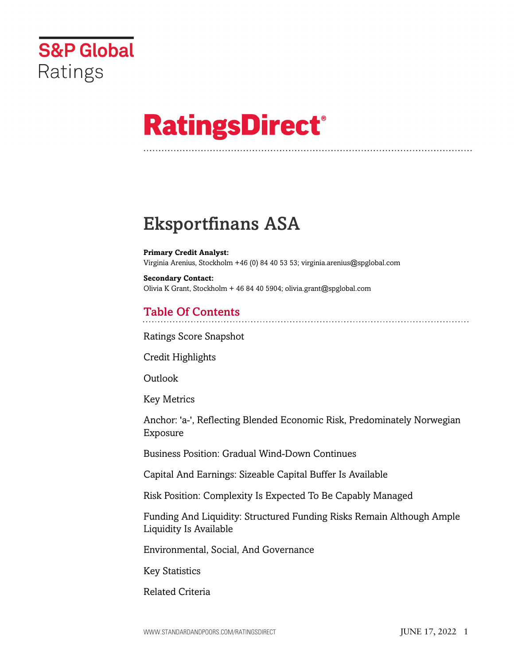

# **RatingsDirect®**

## Eksportfinans ASA

**Primary Credit Analyst:** Virginia Arenius, Stockholm +46 (0) 84 40 53 53; virginia.arenius@spglobal.com

**Secondary Contact:** Olivia K Grant, Stockholm + 46 84 40 5904; olivia.grant@spglobal.com

## Table Of Contents

[Ratings Score Snapshot](#page-2-0)

[Credit Highlights](#page-2-1)

[Outlook](#page--1-0)

[Key Metrics](#page-3-0)

[Anchor: 'a-', Reflecting Blended Economic Risk, Predominately Norwegian](#page-4-0) [Exposure](#page-4-0)

[Business Position: Gradual Wind-Down Continues](#page-5-0)

[Capital And Earnings: Sizeable Capital Buffer Is Available](#page-6-0)

[Risk Position: Complexity Is Expected To Be Capably Managed](#page-7-0)

[Funding And Liquidity: Structured Funding Risks Remain Although Ample](#page-7-1) [Liquidity Is Available](#page-7-1)

[Environmental, Social, And Governance](#page-8-0)

[Key Statistics](#page-9-0)

[Related Criteria](#page-12-0)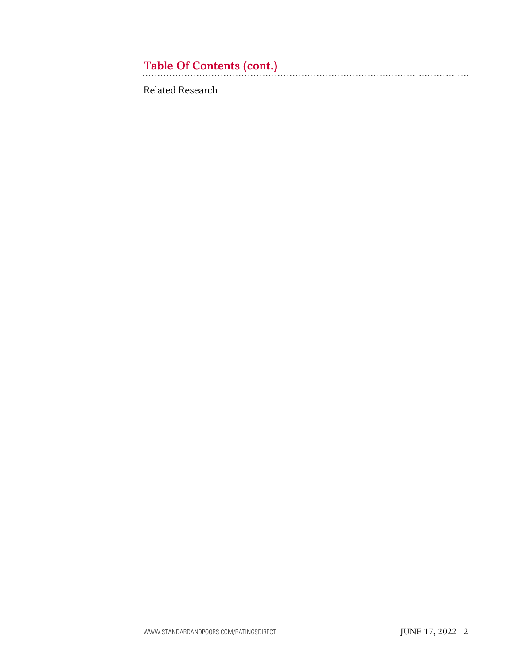## Table Of Contents (cont.)

[Related Research](#page-12-1)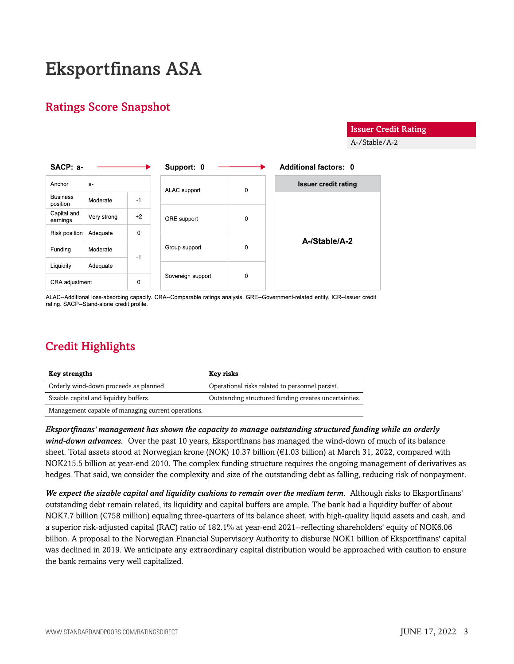## Eksportfinans ASA

## <span id="page-2-0"></span>Ratings Score Snapshot

#### SACP: a-Support: 0 **Additional factors: 0** Anchor **Issuer credit rating**  $\overline{a}$ ALAC support  $\Omega$ **Business** Moderate  $-1$ position Capital and Very strong  $+2$ GRE support  $\Omega$ earnings  $\Omega$ Risk position Adequate A-/Stable/A-2 Group support  $\Omega$ Funding Moderate  $-1$ Liquidity Adequate Sovereign support  $\Omega$ CRA adjustment  $\Omega$

ALAC--Additional loss-absorbing capacity, CRA--Comparable ratings analysis, GRE--Government-related entity, ICR--Issuer credit rating. SACP--Stand-alone credit profile.

## <span id="page-2-1"></span>Credit Highlights

| Key strengths                                      | Key risks                                             |
|----------------------------------------------------|-------------------------------------------------------|
| Orderly wind-down proceeds as planned.             | Operational risks related to personnel persist.       |
| Sizable capital and liquidity buffers.             | Outstanding structured funding creates uncertainties. |
| Management capable of managing current operations. |                                                       |

*Eksportfinans' management has shown the capacity to manage outstanding structured funding while an orderly wind-down advances.* Over the past 10 years, Eksportfinans has managed the wind-down of much of its balance sheet. Total assets stood at Norwegian krone (NOK) 10.37 billion (€1.03 billion) at March 31, 2022, compared with NOK215.5 billion at year-end 2010. The complex funding structure requires the ongoing management of derivatives as hedges. That said, we consider the complexity and size of the outstanding debt as falling, reducing risk of nonpayment.

*We expect the sizable capital and liquidity cushions to remain over the medium term.* Although risks to Eksportfinans' outstanding debt remain related, its liquidity and capital buffers are ample. The bank had a liquidity buffer of about NOK7.7 billion (€758 million) equaling three-quarters of its balance sheet, with high-quality liquid assets and cash, and a superior risk-adjusted capital (RAC) ratio of 182.1% at year-end 2021--reflecting shareholders' equity of NOK6.06 billion. A proposal to the Norwegian Financial Supervisory Authority to disburse NOK1 billion of Eksportfinans' capital was declined in 2019. We anticipate any extraordinary capital distribution would be approached with caution to ensure the bank remains very well capitalized.

Issuer Credit Rating

A-/Stable/A-2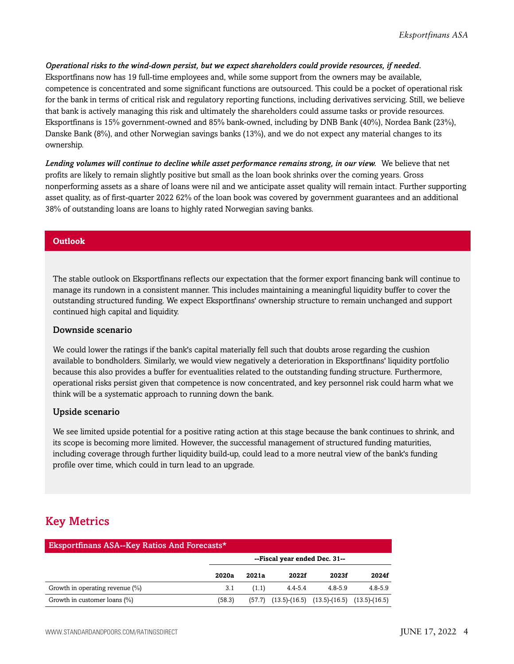*Operational risks to the wind-down persist, but we expect shareholders could provide resources, if needed.* Eksportfinans now has 19 full-time employees and, while some support from the owners may be available, competence is concentrated and some significant functions are outsourced. This could be a pocket of operational risk for the bank in terms of critical risk and regulatory reporting functions, including derivatives servicing. Still, we believe that bank is actively managing this risk and ultimately the shareholders could assume tasks or provide resources. Eksportfinans is 15% government-owned and 85% bank-owned, including by DNB Bank (40%), Nordea Bank (23%), Danske Bank (8%), and other Norwegian savings banks (13%), and we do not expect any material changes to its ownership.

*Lending volumes will continue to decline while asset performance remains strong, in our view.* We believe that net profits are likely to remain slightly positive but small as the loan book shrinks over the coming years. Gross nonperforming assets as a share of loans were nil and we anticipate asset quality will remain intact. Further supporting asset quality, as of first-quarter 2022 62% of the loan book was covered by government guarantees and an additional 38% of outstanding loans are loans to highly rated Norwegian saving banks.

#### **Outlook**

The stable outlook on Eksportfinans reflects our expectation that the former export financing bank will continue to manage its rundown in a consistent manner. This includes maintaining a meaningful liquidity buffer to cover the outstanding structured funding. We expect Eksportfinans' ownership structure to remain unchanged and support continued high capital and liquidity.

#### Downside scenario

We could lower the ratings if the bank's capital materially fell such that doubts arose regarding the cushion available to bondholders. Similarly, we would view negatively a deterioration in Eksportfinans' liquidity portfolio because this also provides a buffer for eventualities related to the outstanding funding structure. Furthermore, operational risks persist given that competence is now concentrated, and key personnel risk could harm what we think will be a systematic approach to running down the bank.

#### Upside scenario

We see limited upside potential for a positive rating action at this stage because the bank continues to shrink, and its scope is becoming more limited. However, the successful management of structured funding maturities, including coverage through further liquidity build-up, could lead to a more neutral view of the bank's funding profile over time, which could in turn lead to an upgrade.

## <span id="page-3-0"></span>Key Metrics

| Eksportfinans ASA--Key Ratios And Forecasts* |                               |       |                                                          |             |             |  |  |
|----------------------------------------------|-------------------------------|-------|----------------------------------------------------------|-------------|-------------|--|--|
|                                              | --Fiscal year ended Dec. 31-- |       |                                                          |             |             |  |  |
|                                              | 2020a                         | 2021a | 2022f                                                    | 2023f       | 2024f       |  |  |
| Growth in operating revenue $(\%)$           | 3.1                           | (1.1) | $4.4 - 5.4$                                              | $4.8 - 5.9$ | $4.8 - 5.9$ |  |  |
| Growth in customer loans (%)                 | (58.3)                        |       | $(57.7)$ $(13.5)-(16.5)$ $(13.5)-(16.5)$ $(13.5)-(16.5)$ |             |             |  |  |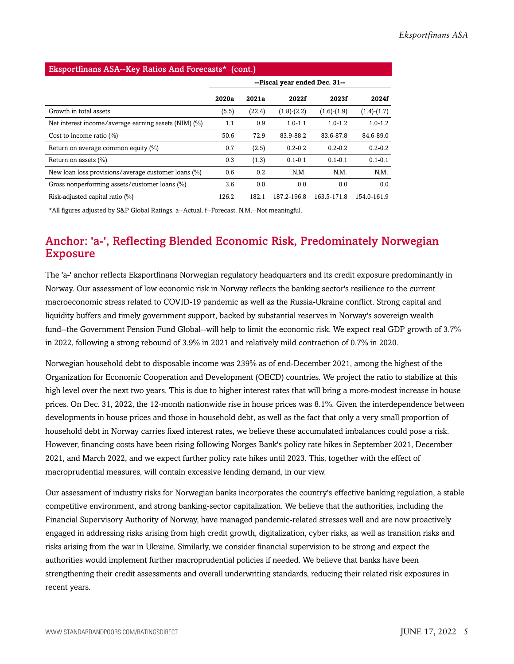| Eksportfinans ASA--Key Ratios And Forecasts*<br>(cont.) |                               |        |               |               |               |  |  |
|---------------------------------------------------------|-------------------------------|--------|---------------|---------------|---------------|--|--|
|                                                         | --Fiscal year ended Dec. 31-- |        |               |               |               |  |  |
|                                                         | 2020a                         | 2021a  | 2022f         | 2023f         | 2024f         |  |  |
| Growth in total assets                                  | (5.5)                         | (22.4) | $(1.8)-(2.2)$ | $(1.6)-(1.9)$ | $(1.4)-(1.7)$ |  |  |
| Net interest income/average earning assets (NIM) (%)    | 1.1                           | 0.9    | $1.0 - 1.1$   | $1.0 - 1.2$   | $1.0 - 1.2$   |  |  |
| Cost to income ratio $(\%)$                             | 50.6                          | 72.9   | 83.9-88.2     | 83.6-87.8     | 84.6-89.0     |  |  |
| Return on average common equity (%)                     | 0.7                           | (2.5)  | $0.2 - 0.2$   | $0.2 - 0.2$   | $0.2 - 0.2$   |  |  |
| Return on assets (%)                                    | 0.3                           | (1.3)  | $0.1 - 0.1$   | $0.1 - 0.1$   | $0.1 - 0.1$   |  |  |
| New loan loss provisions/average customer loans (%)     | 0.6                           | 0.2    | N.M.          | N.M.          | N.M.          |  |  |
| Gross nonperforming assets/customer loans (%)           | 3.6                           | 0.0    | 0.0           | 0.0           | 0.0           |  |  |
| Risk-adjusted capital ratio (%)                         | 126.2                         | 182.1  | 187.2-196.8   | 163.5-171.8   | 154.0-161.9   |  |  |

Eksportfinans ASA--Key Ratios And Forecasts\* (cont.)

<span id="page-4-0"></span>\*All figures adjusted by S&P Global Ratings. a--Actual. f--Forecast. N.M.--Not meaningful.

## Anchor: 'a-', Reflecting Blended Economic Risk, Predominately Norwegian Exposure

The 'a-' anchor reflects Eksportfinans Norwegian regulatory headquarters and its credit exposure predominantly in Norway. Our assessment of low economic risk in Norway reflects the banking sector's resilience to the current macroeconomic stress related to COVID-19 pandemic as well as the Russia-Ukraine conflict. Strong capital and liquidity buffers and timely government support, backed by substantial reserves in Norway's sovereign wealth fund--the Government Pension Fund Global--will help to limit the economic risk. We expect real GDP growth of 3.7% in 2022, following a strong rebound of 3.9% in 2021 and relatively mild contraction of 0.7% in 2020.

Norwegian household debt to disposable income was 239% as of end-December 2021, among the highest of the Organization for Economic Cooperation and Development (OECD) countries. We project the ratio to stabilize at this high level over the next two years. This is due to higher interest rates that will bring a more-modest increase in house prices. On Dec. 31, 2022, the 12-month nationwide rise in house prices was 8.1%. Given the interdependence between developments in house prices and those in household debt, as well as the fact that only a very small proportion of household debt in Norway carries fixed interest rates, we believe these accumulated imbalances could pose a risk. However, financing costs have been rising following Norges Bank's policy rate hikes in September 2021, December 2021, and March 2022, and we expect further policy rate hikes until 2023. This, together with the effect of macroprudential measures, will contain excessive lending demand, in our view.

Our assessment of industry risks for Norwegian banks incorporates the country's effective banking regulation, a stable competitive environment, and strong banking-sector capitalization. We believe that the authorities, including the Financial Supervisory Authority of Norway, have managed pandemic-related stresses well and are now proactively engaged in addressing risks arising from high credit growth, digitalization, cyber risks, as well as transition risks and risks arising from the war in Ukraine. Similarly, we consider financial supervision to be strong and expect the authorities would implement further macroprudential policies if needed. We believe that banks have been strengthening their credit assessments and overall underwriting standards, reducing their related risk exposures in recent years.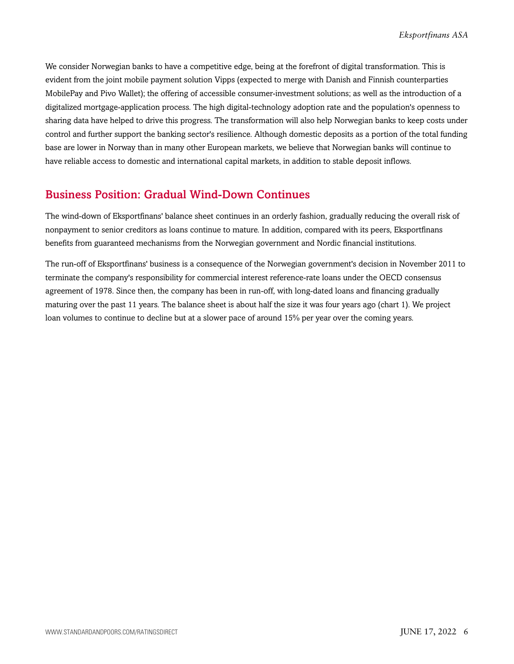We consider Norwegian banks to have a competitive edge, being at the forefront of digital transformation. This is evident from the joint mobile payment solution Vipps (expected to merge with Danish and Finnish counterparties MobilePay and Pivo Wallet); the offering of accessible consumer-investment solutions; as well as the introduction of a digitalized mortgage-application process. The high digital-technology adoption rate and the population's openness to sharing data have helped to drive this progress. The transformation will also help Norwegian banks to keep costs under control and further support the banking sector's resilience. Although domestic deposits as a portion of the total funding base are lower in Norway than in many other European markets, we believe that Norwegian banks will continue to have reliable access to domestic and international capital markets, in addition to stable deposit inflows.

## <span id="page-5-0"></span>Business Position: Gradual Wind-Down Continues

The wind-down of Eksportfinans' balance sheet continues in an orderly fashion, gradually reducing the overall risk of nonpayment to senior creditors as loans continue to mature. In addition, compared with its peers, Eksportfinans benefits from guaranteed mechanisms from the Norwegian government and Nordic financial institutions.

The run-off of Eksportfinans' business is a consequence of the Norwegian government's decision in November 2011 to terminate the company's responsibility for commercial interest reference-rate loans under the OECD consensus agreement of 1978. Since then, the company has been in run-off, with long-dated loans and financing gradually maturing over the past 11 years. The balance sheet is about half the size it was four years ago (chart 1). We project loan volumes to continue to decline but at a slower pace of around 15% per year over the coming years.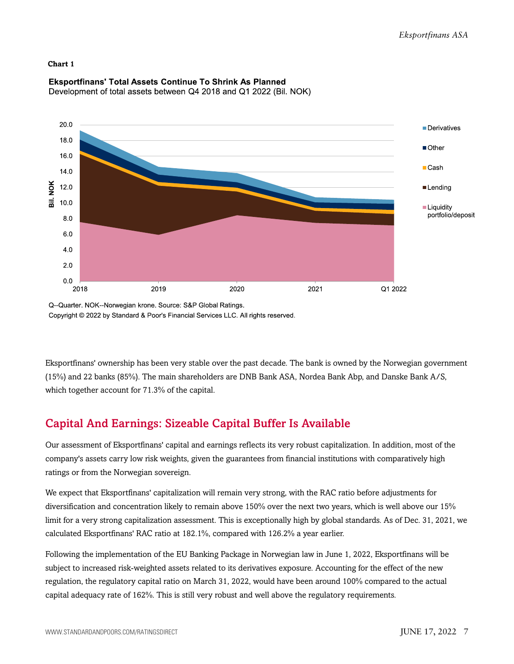#### **Chart 1**



#### **Eksportfinans' Total Assets Continue To Shrink As Planned** Development of total assets between Q4 2018 and Q1 2022 (Bil. NOK)

Q--Quarter. NOK--Norwegian krone. Source: S&P Global Ratings.

Copyright © 2022 by Standard & Poor's Financial Services LLC. All rights reserved.

Eksportfinans' ownership has been very stable over the past decade. The bank is owned by the Norwegian government (15%) and 22 banks (85%). The main shareholders are DNB Bank ASA, Nordea Bank Abp, and Danske Bank A/S, which together account for 71.3% of the capital.

## <span id="page-6-0"></span>Capital And Earnings: Sizeable Capital Buffer Is Available

Our assessment of Eksportfinans' capital and earnings reflects its very robust capitalization. In addition, most of the company's assets carry low risk weights, given the guarantees from financial institutions with comparatively high ratings or from the Norwegian sovereign.

We expect that Eksportfinans' capitalization will remain very strong, with the RAC ratio before adjustments for diversification and concentration likely to remain above 150% over the next two years, which is well above our 15% limit for a very strong capitalization assessment. This is exceptionally high by global standards. As of Dec. 31, 2021, we calculated Eksportfinans' RAC ratio at 182.1%, compared with 126.2% a year earlier.

Following the implementation of the EU Banking Package in Norwegian law in June 1, 2022, Eksportfinans will be subject to increased risk-weighted assets related to its derivatives exposure. Accounting for the effect of the new regulation, the regulatory capital ratio on March 31, 2022, would have been around 100% compared to the actual capital adequacy rate of 162%. This is still very robust and well above the regulatory requirements.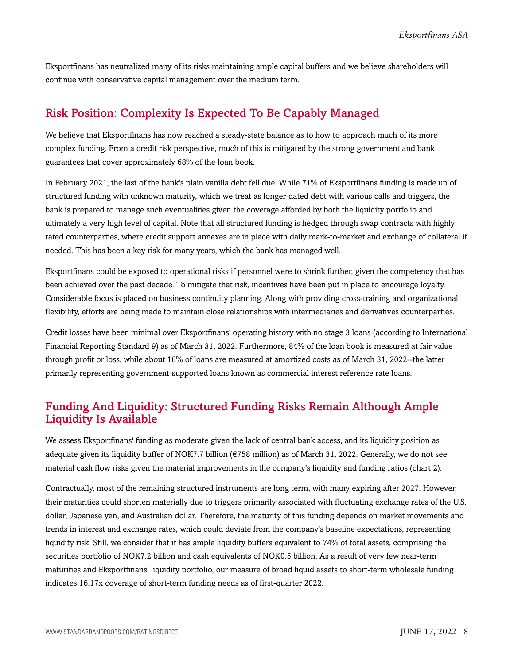Eksportfinans has neutralized many of its risks maintaining ample capital buffers and we believe shareholders will continue with conservative capital management over the medium term.

### <span id="page-7-0"></span>Risk Position: Complexity Is Expected To Be Capably Managed

We believe that Eksportfinans has now reached a steady-state balance as to how to approach much of its more complex funding. From a credit risk perspective, much of this is mitigated by the strong government and bank guarantees that cover approximately 68% of the loan book.

In February 2021, the last of the bank's plain vanilla debt fell due. While 71% of Eksportfinans funding is made up of structured funding with unknown maturity, which we treat as longer-dated debt with various calls and triggers, the bank is prepared to manage such eventualities given the coverage afforded by both the liquidity portfolio and ultimately a very high level of capital. Note that all structured funding is hedged through swap contracts with highly rated counterparties, where credit support annexes are in place with daily mark-to-market and exchange of collateral if needed. This has been a key risk for many years, which the bank has managed well.

Eksportfinans could be exposed to operational risks if personnel were to shrink further, given the competency that has been achieved over the past decade. To mitigate that risk, incentives have been put in place to encourage loyalty. Considerable focus is placed on business continuity planning. Along with providing cross-training and organizational flexibility, efforts are being made to maintain close relationships with intermediaries and derivatives counterparties.

Credit losses have been minimal over Eksportfinans' operating history with no stage 3 loans (according to International Financial Reporting Standard 9) as of March 31, 2022. Furthermore, 84% of the loan book is measured at fair value through profit or loss, while about 16% of loans are measured at amortized costs as of March 31, 2022--the latter primarily representing government-supported loans known as commercial interest reference rate loans.

## <span id="page-7-1"></span>Funding And Liquidity: Structured Funding Risks Remain Although Ample Liquidity Is Available

We assess Eksportfinans' funding as moderate given the lack of central bank access, and its liquidity position as adequate given its liquidity buffer of NOK7.7 billion (€758 million) as of March 31, 2022. Generally, we do not see material cash flow risks given the material improvements in the company's liquidity and funding ratios (chart 2).

Contractually, most of the remaining structured instruments are long term, with many expiring after 2027. However, their maturities could shorten materially due to triggers primarily associated with fluctuating exchange rates of the U.S. dollar, Japanese yen, and Australian dollar. Therefore, the maturity of this funding depends on market movements and trends in interest and exchange rates, which could deviate from the company's baseline expectations, representing liquidity risk. Still, we consider that it has ample liquidity buffers equivalent to 74% of total assets, comprising the securities portfolio of NOK7.2 billion and cash equivalents of NOK0.5 billion. As a result of very few near-term maturities and Eksportfinans' liquidity portfolio, our measure of broad liquid assets to short-term wholesale funding indicates 16.17x coverage of short-term funding needs as of first-quarter 2022.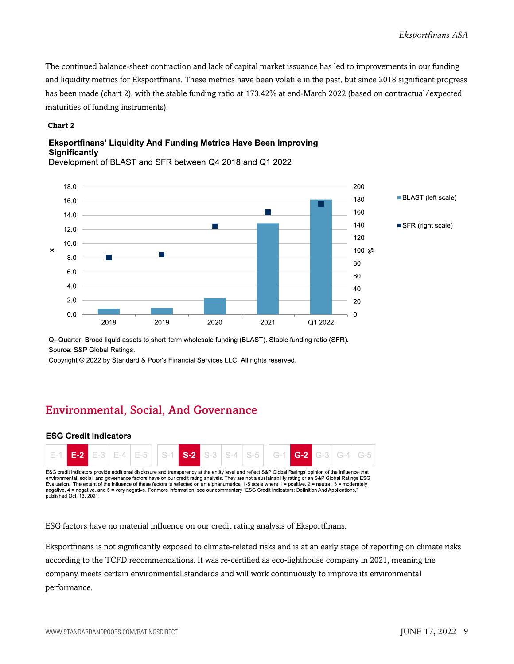The continued balance-sheet contraction and lack of capital market issuance has led to improvements in our funding and liquidity metrics for Eksportfinans. These metrics have been volatile in the past, but since 2018 significant progress has been made (chart 2), with the stable funding ratio at 173.42% at end-March 2022 (based on contractual/expected maturities of funding instruments).

#### **Chart 2**

#### **Eksportfinans' Liquidity And Funding Metrics Have Been Improving Significantly**





Q--Quarter. Broad liquid assets to short-term wholesale funding (BLAST). Stable funding ratio (SFR). Source: S&P Global Ratings.

Copyright © 2022 by Standard & Poor's Financial Services LLC. All rights reserved.

## <span id="page-8-0"></span>Environmental, Social, And Governance

#### **ESG Credit Indicators**



Evaluation. The extent of the influence of these factors is reflected on an alphanumerical 1-5 scale where 1 = positive, 2 = neutral, 3 = moderately negative, 4 = negative, and 5 = very negative. For more information, see our commentary "ESG Credit Indicators: Definition And Applications, published Oct. 13, 2021.

ESG factors have no material influence on our credit rating analysis of Eksportfinans.

Eksportfinans is not significantly exposed to climate-related risks and is at an early stage of reporting on climate risks according to the TCFD recommendations. It was re-certified as eco-lighthouse company in 2021, meaning the company meets certain environmental standards and will work continuously to improve its environmental performance.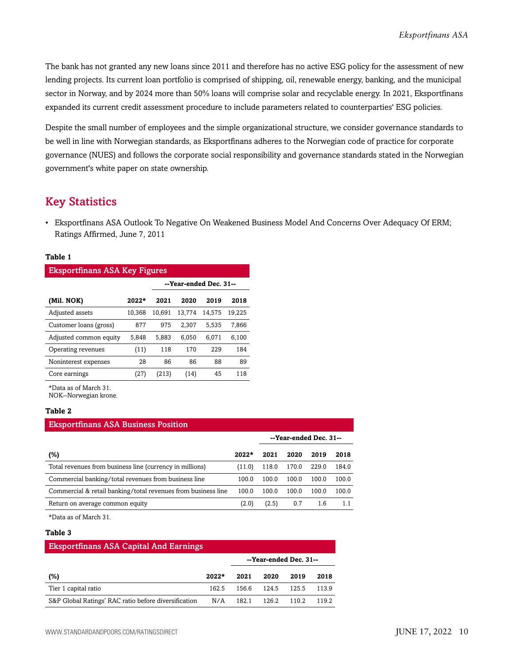The bank has not granted any new loans since 2011 and therefore has no active ESG policy for the assessment of new lending projects. Its current loan portfolio is comprised of shipping, oil, renewable energy, banking, and the municipal sector in Norway, and by 2024 more than 50% loans will comprise solar and recyclable energy. In 2021, Eksportfinans expanded its current credit assessment procedure to include parameters related to counterparties' ESG policies.

Despite the small number of employees and the simple organizational structure, we consider governance standards to be well in line with Norwegian standards, as Eksportfinans adheres to the Norwegian code of practice for corporate governance (NUES) and follows the corporate social responsibility and governance standards stated in the Norwegian government's white paper on state ownership.

### <span id="page-9-0"></span>Key Statistics

• Eksportfinans ASA Outlook To Negative On Weakened Business Model And Concerns Over Adequacy Of ERM; Ratings Affirmed, June 7, 2011

#### **Table 1**

| <b>Eksportfinans ASA Key Figures</b> |         |                        |        |        |        |  |  |
|--------------------------------------|---------|------------------------|--------|--------|--------|--|--|
|                                      |         | --Year-ended Dec. 31-- |        |        |        |  |  |
| (Mil. NOK)                           | $2022*$ | 2021                   | 2020   | 2019   | 2018   |  |  |
| Adjusted assets                      | 10.368  | 10.691                 | 13.774 | 14.575 | 19,225 |  |  |
| Customer loans (gross)               | 877     | 975                    | 2.307  | 5.535  | 7.866  |  |  |
| Adjusted common equity               | 5.848   | 5.883                  | 6.050  | 6.071  | 6.100  |  |  |
| Operating revenues                   | (11)    | 118                    | 170    | 229    | 184    |  |  |
| Noninterest expenses                 | 28      | 86                     | 86     | 88     | 89     |  |  |
| Core earnings                        | (27)    | (213)                  | (14)   | 45     | 118    |  |  |
|                                      |         |                        |        |        |        |  |  |

\*Data as of March 31.

NOK--Norwegian krone.

#### **Table 2**

| <b>Eksportfinans ASA Business Position</b>                    |         |                        |       |       |       |  |
|---------------------------------------------------------------|---------|------------------------|-------|-------|-------|--|
|                                                               |         | --Year-ended Dec. 31-- |       |       |       |  |
| (%)                                                           | $2022*$ | 2021                   | 2020  | 2019  | 2018  |  |
| Total revenues from business line (currency in millions)      | (11.0)  | 118.0                  | 170.0 | 229.0 | 184.0 |  |
| Commercial banking/total revenues from business line          | 100.0   | 100.0                  | 100.0 | 100.0 | 100.0 |  |
| Commercial & retail banking/total revenues from business line | 100.0   | 100.0                  | 100.0 | 100.0 | 100.0 |  |
| Return on average common equity                               | (2.0)   | (2.5)                  | 0.7   | 1.6   | 1.1   |  |

\*Data as of March 31.

#### **Table 3**

| <b>Eksportfinans ASA Capital And Earnings</b>        |         |                        |       |       |       |  |
|------------------------------------------------------|---------|------------------------|-------|-------|-------|--|
|                                                      |         | --Year-ended Dec. 31-- |       |       |       |  |
| $(\%)$                                               | $2022*$ | 2021                   | 2020  | 2019  | 2018  |  |
| Tier 1 capital ratio                                 | 162.5   | 156.6                  | 124.5 | 125.5 | 113.9 |  |
| S&P Global Ratings' RAC ratio before diversification | N/A     | 182.1                  | 126.2 | 1102  | 1192  |  |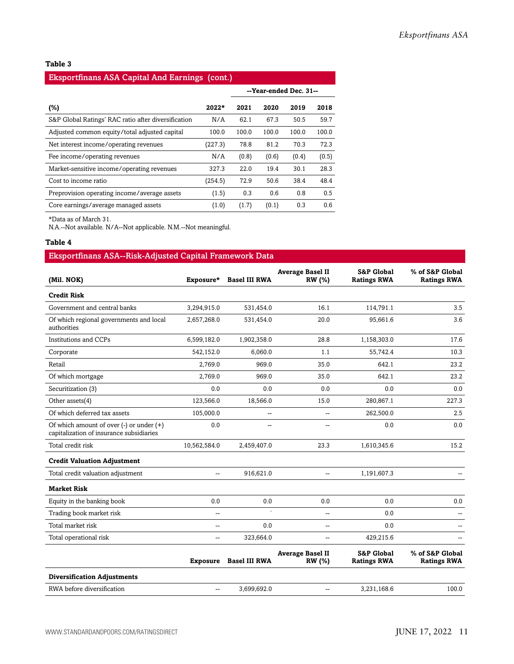#### **Table 3**

### Eksportfinans ASA Capital And Earnings (cont.)

|                                                     |         |       | --Year-ended Dec. 31-- |       |       |
|-----------------------------------------------------|---------|-------|------------------------|-------|-------|
| (%)                                                 | 2022*   | 2021  | 2020                   | 2019  | 2018  |
| S&P Global Ratings' RAC ratio after diversification | N/A     | 62.1  | 67.3                   | 50.5  | 59.7  |
| Adjusted common equity/total adjusted capital       | 100.0   | 100.0 | 100.0                  | 100.0 | 100.0 |
| Net interest income/operating revenues              | (227.3) | 78.8  | 81.2                   | 70.3  | 72.3  |
| Fee income/operating revenues                       | N/A     | (0.8) | (0.6)                  | (0.4) | (0.5) |
| Market-sensitive income/operating revenues          | 327.3   | 22.0  | 19.4                   | 30.1  | 28.3  |
| Cost to income ratio                                | (254.5) | 72.9  | 50.6                   | 38.4  | 48.4  |
| Preprovision operating income/average assets        | (1.5)   | 0.3   | 0.6                    | 0.8   | 0.5   |
| Core earnings/average managed assets                | (1.0)   | (1.7) | (0.1)                  | 0.3   | 0.6   |

\*Data as of March 31.

N.A.--Not available. N/A--Not applicable. N.M.--Not meaningful.

#### **Table 4**

#### Eksportfinans ASA--Risk-Adjusted Capital Framework Data

| (Mil. NOK)                                                                               | Exposure*       | <b>Basel III RWA</b>     | <b>Average Basel II</b><br><b>RW</b> (%) | <b>S&amp;P Global</b><br><b>Ratings RWA</b> | % of S&P Global<br><b>Ratings RWA</b> |
|------------------------------------------------------------------------------------------|-----------------|--------------------------|------------------------------------------|---------------------------------------------|---------------------------------------|
| <b>Credit Risk</b>                                                                       |                 |                          |                                          |                                             |                                       |
| Government and central banks                                                             | 3,294,915.0     | 531,454.0                | 16.1                                     | 114,791.1                                   | 3.5                                   |
| Of which regional governments and local<br>authorities                                   | 2,657,268.0     | 531,454.0                | 20.0                                     | 95,661.6                                    | 3.6                                   |
| <b>Institutions and CCPs</b>                                                             | 6,599,182.0     | 1,902,358.0              | 28.8                                     | 1,158,303.0                                 | 17.6                                  |
| Corporate                                                                                | 542,152.0       | 6.060.0                  | 1.1                                      | 55,742.4                                    | 10.3                                  |
| Retail                                                                                   | 2,769.0         | 969.0                    | 35.0                                     | 642.1                                       | 23.2                                  |
| Of which mortgage                                                                        | 2,769.0         | 969.0                    | 35.0                                     | 642.1                                       | 23.2                                  |
| Securitization (3)                                                                       | 0.0             | 0.0                      | 0.0                                      | 0.0                                         | 0.0                                   |
| Other assets(4)                                                                          | 123,566.0       | 18,566.0                 | 15.0                                     | 280,867.1                                   | 227.3                                 |
| Of which deferred tax assets                                                             | 105,000.0       |                          | $\overline{a}$                           | 262,500.0                                   | 2.5                                   |
| Of which amount of over $(-)$ or under $(+)$<br>capitalization of insurance subsidiaries | 0.0             | $\overline{\phantom{a}}$ | --                                       | 0.0                                         | 0.0                                   |
| Total credit risk                                                                        | 10,562,584.0    | 2,459,407.0              | 23.3                                     | 1,610,345.6                                 | 15.2                                  |
| <b>Credit Valuation Adjustment</b>                                                       |                 |                          |                                          |                                             |                                       |
| Total credit valuation adjustment                                                        | $\mathbf{u}$    | 916,621.0                | $\overline{a}$                           | 1,191,607.3                                 |                                       |
| <b>Market Risk</b>                                                                       |                 |                          |                                          |                                             |                                       |
| Equity in the banking book                                                               | 0.0             | 0.0                      | 0.0                                      | 0.0                                         | 0.0                                   |
| Trading book market risk                                                                 | $\sim$ $\sim$   | $\ddot{\phantom{0}}$     | $-$                                      | 0.0                                         | $\sim$                                |
| Total market risk                                                                        | $\sim$ $\sim$   | 0.0                      | $-$                                      | 0.0                                         | $\overline{a}$                        |
| Total operational risk                                                                   | $\mathbf{u}$    | 323,664.0                | $\overline{\phantom{a}}$                 | 429,215.6                                   |                                       |
|                                                                                          | <b>Exposure</b> | <b>Basel III RWA</b>     | <b>Average Basel II</b><br><b>RW</b> (%) | <b>S&amp;P Global</b><br><b>Ratings RWA</b> | % of S&P Global<br><b>Ratings RWA</b> |
| <b>Diversification Adjustments</b>                                                       |                 |                          |                                          |                                             |                                       |
| RWA before diversification                                                               | $\sim$ $\sim$   | 3.699.692.0              | $\overline{a}$                           | 3.231.168.6                                 | 100.0                                 |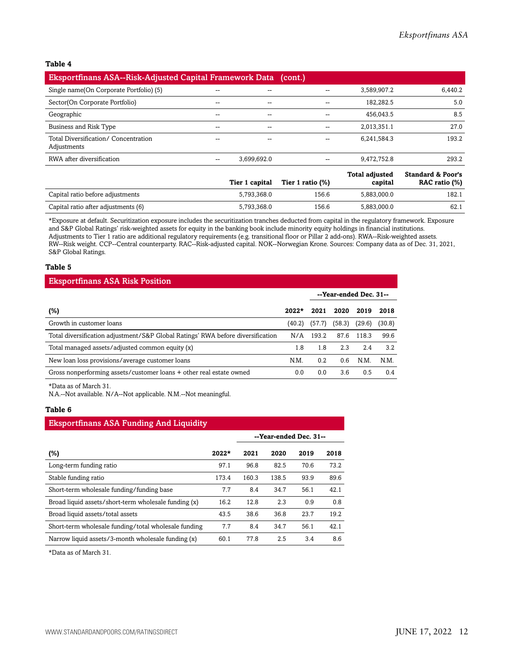#### **Table 4**

| <b>Eksportfinans ASA--Risk-Adjusted Capital Framework Data</b> |       |                | (cont.)             |                                  |                                               |
|----------------------------------------------------------------|-------|----------------|---------------------|----------------------------------|-----------------------------------------------|
| Single name(On Corporate Portfolio) (5)                        | --    |                |                     | 3,589,907.2                      | 6,440.2                                       |
| Sector(On Corporate Portfolio)                                 | --    |                |                     | 182,282.5                        | 5.0                                           |
| Geographic                                                     | --    |                |                     | 456,043.5                        | 8.5                                           |
| Business and Risk Type                                         | $- -$ | --             | --                  | 2,013,351.1                      | 27.0                                          |
| Total Diversification/ Concentration<br>Adjustments            | --    |                |                     | 6,241,584.3                      | 193.2                                         |
| RWA after diversification                                      | $- -$ | 3,699,692.0    |                     | 9,472,752.8                      | 293.2                                         |
|                                                                |       | Tier 1 capital | Tier 1 ratio $(\%)$ | <b>Total adjusted</b><br>capital | <b>Standard &amp; Poor's</b><br>RAC ratio (%) |
| Capital ratio before adjustments                               |       | 5,793,368.0    | 156.6               | 5,883,000.0                      | 182.1                                         |
| Capital ratio after adjustments (6)                            |       | 5,793,368.0    | 156.6               | 5,883,000.0                      | 62.1                                          |

\*Exposure at default. Securitization exposure includes the securitization tranches deducted from capital in the regulatory framework. Exposure and S&P Global Ratings' risk-weighted assets for equity in the banking book include minority equity holdings in financial institutions. Adjustments to Tier 1 ratio are additional regulatory requirements (e.g. transitional floor or Pillar 2 add-ons). RWA--Risk-weighted assets. RW--Risk weight. CCP--Central counterparty. RAC--Risk-adjusted capital. NOK--Norwegian Krone. Sources: Company data as of Dec. 31, 2021, S&P Global Ratings.

#### **Table 5**

| <b>Eksportfinans ASA Risk Position</b>                                          |         |                        |        |        |        |  |  |
|---------------------------------------------------------------------------------|---------|------------------------|--------|--------|--------|--|--|
|                                                                                 |         | --Year-ended Dec. 31-- |        |        |        |  |  |
| (%)                                                                             | $2022*$ | 2021                   | 2020   | 2019   | 2018   |  |  |
| Growth in customer loans                                                        | (40.2)  | (57.7)                 | (58.3) | (29.6) | (30.8) |  |  |
| Total diversification adjustment/S&P Global Ratings' RWA before diversification | N/A     | 193.2                  | 87.6   | 118.3  | 99.6   |  |  |
| Total managed assets/adjusted common equity (x)                                 | 1.8     | 1.8                    | 2.3    | 2.4    | 3.2    |  |  |
| New loan loss provisions/average customer loans                                 | N.M.    | 0.2                    | 0.6    | N M    | N.M.   |  |  |
| Gross nonperforming assets/customer loans + other real estate owned             | 0.0     | 0.0                    | 3.6    | 0.5    | 0.4    |  |  |

\*Data as of March 31.

N.A.--Not available. N/A--Not applicable. N.M.--Not meaningful.

#### **Table 6**

| <b>Eksportfinans ASA Funding And Liquidity</b>       |         |                        |       |      |      |  |
|------------------------------------------------------|---------|------------------------|-------|------|------|--|
|                                                      |         | --Year-ended Dec. 31-- |       |      |      |  |
| (%)                                                  | $2022*$ | 2021                   | 2020  | 2019 | 2018 |  |
| Long-term funding ratio                              | 97.1    | 96.8                   | 82.5  | 70.6 | 73.2 |  |
| Stable funding ratio                                 | 173.4   | 160.3                  | 138.5 | 93.9 | 89.6 |  |
| Short-term wholesale funding/funding base            | 7.7     | 8.4                    | 34.7  | 56.1 | 42.1 |  |
| Broad liquid assets/short-term wholesale funding (x) | 16.2    | 12.8                   | 2.3   | 0.9  | 0.8  |  |
| Broad liquid assets/total assets                     | 43.5    | 38.6                   | 36.8  | 23.7 | 19.2 |  |
| Short-term wholesale funding/total wholesale funding | 7.7     | 8.4                    | 34.7  | 56.1 | 42.1 |  |
| Narrow liquid assets/3-month wholesale funding (x)   | 60.1    | 77.8                   | 2.5   | 3.4  | 8.6  |  |

\*Data as of March 31.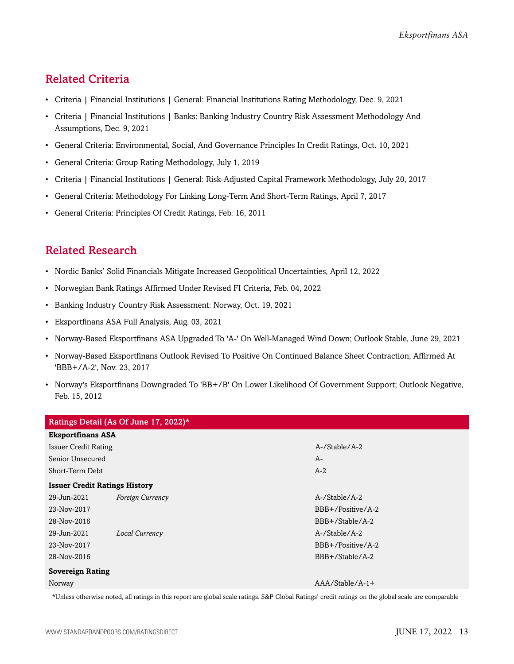## <span id="page-12-0"></span>Related Criteria

- Criteria | Financial Institutions | General: Financial Institutions Rating Methodology, Dec. 9, 2021
- Criteria | Financial Institutions | Banks: Banking Industry Country Risk Assessment Methodology And Assumptions, Dec. 9, 2021
- General Criteria: Environmental, Social, And Governance Principles In Credit Ratings, Oct. 10, 2021
- General Criteria: Group Rating Methodology, July 1, 2019
- Criteria | Financial Institutions | General: Risk-Adjusted Capital Framework Methodology, July 20, 2017
- General Criteria: Methodology For Linking Long-Term And Short-Term Ratings, April 7, 2017
- General Criteria: Principles Of Credit Ratings, Feb. 16, 2011

## <span id="page-12-1"></span>Related Research

- Nordic Banks' Solid Financials Mitigate Increased Geopolitical Uncertainties, April 12, 2022
- Norwegian Bank Ratings Affirmed Under Revised FI Criteria, Feb. 04, 2022
- Banking Industry Country Risk Assessment: Norway, Oct. 19, 2021
- Eksportfinans ASA Full Analysis, Aug. 03, 2021
- Norway-Based Eksportfinans ASA Upgraded To 'A-' On Well-Managed Wind Down; Outlook Stable, June 29, 2021
- Norway-Based Eksportfinans Outlook Revised To Positive On Continued Balance Sheet Contraction; Affirmed At 'BBB+/A-2', Nov. 23, 2017
- Norway's Eksportfinans Downgraded To 'BB+/B' On Lower Likelihood Of Government Support; Outlook Negative, Feb. 15, 2012

| Ratings Detail (As Of June 17, 2022)* |                         |                   |  |  |  |
|---------------------------------------|-------------------------|-------------------|--|--|--|
| <b>Eksportfinans ASA</b>              |                         |                   |  |  |  |
| <b>Issuer Credit Rating</b>           |                         | A-/Stable/A-2     |  |  |  |
| Senior Unsecured                      |                         | $A-$              |  |  |  |
| Short-Term Debt                       |                         | $A-2$             |  |  |  |
| <b>Issuer Credit Ratings History</b>  |                         |                   |  |  |  |
| 29-Jun-2021                           | <b>Foreign Currency</b> | A-/Stable/A-2     |  |  |  |
| 23-Nov-2017                           |                         | BBB+/Positive/A-2 |  |  |  |
| 28-Nov-2016                           |                         | BBB+/Stable/A-2   |  |  |  |
| 29-Jun-2021                           | Local Currency          | A-/Stable/A-2     |  |  |  |
| 23-Nov-2017                           |                         | BBB+/Positive/A-2 |  |  |  |
| 28-Nov-2016                           |                         | BBB+/Stable/A-2   |  |  |  |
| <b>Sovereign Rating</b>               |                         |                   |  |  |  |
| Norway                                |                         | $AAA/Stable/A-1+$ |  |  |  |

\*Unless otherwise noted, all ratings in this report are global scale ratings. S&P Global Ratings' credit ratings on the global scale are comparable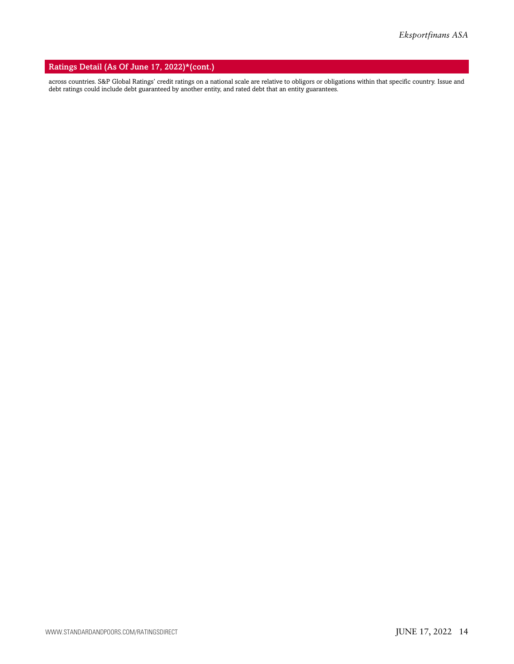#### Ratings Detail (As Of June 17, 2022)\*(cont.)

across countries. S&P Global Ratings' credit ratings on a national scale are relative to obligors or obligations within that specific country. Issue and debt ratings could include debt guaranteed by another entity, and rated debt that an entity guarantees.